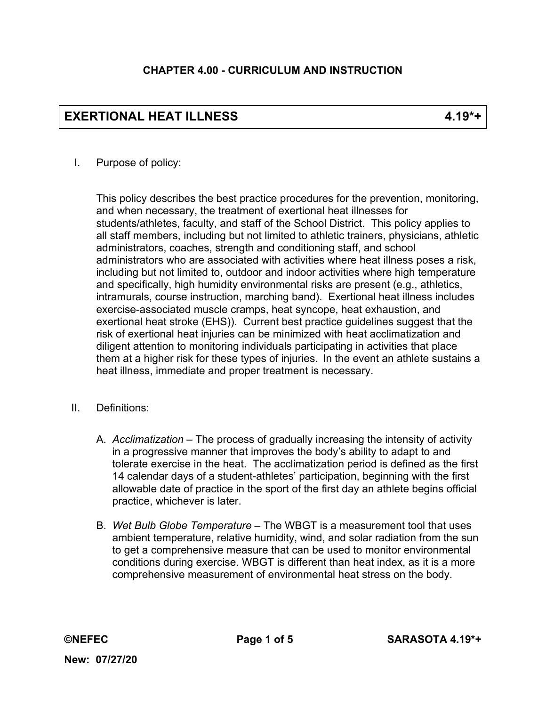# **EXERTIONAL HEAT ILLNESS 4.19\*+**

## I. Purpose of policy:

This policy describes the best practice procedures for the prevention, monitoring, and when necessary, the treatment of exertional heat illnesses for students/athletes, faculty, and staff of the School District. This policy applies to all staff members, including but not limited to athletic trainers, physicians, athletic administrators, coaches, strength and conditioning staff, and school administrators who are associated with activities where heat illness poses a risk, including but not limited to, outdoor and indoor activities where high temperature and specifically, high humidity environmental risks are present (e.g., athletics, intramurals, course instruction, marching band). Exertional heat illness includes exercise-associated muscle cramps, heat syncope, heat exhaustion, and exertional heat stroke (EHS)). Current best practice guidelines suggest that the risk of exertional heat injuries can be minimized with heat acclimatization and diligent attention to monitoring individuals participating in activities that place them at a higher risk for these types of injuries. In the event an athlete sustains a heat illness, immediate and proper treatment is necessary.

- II. Definitions:
	- A. *Acclimatization*  The process of gradually increasing the intensity of activity in a progressive manner that improves the body's ability to adapt to and tolerate exercise in the heat. The acclimatization period is defined as the first 14 calendar days of a student-athletes' participation, beginning with the first allowable date of practice in the sport of the first day an athlete begins official practice, whichever is later.
	- B. *Wet Bulb Globe Temperature* The WBGT is a measurement tool that uses ambient temperature, relative humidity, wind, and solar radiation from the sun to get a comprehensive measure that can be used to monitor environmental conditions during exercise. WBGT is different than heat index, as it is a more comprehensive measurement of environmental heat stress on the body.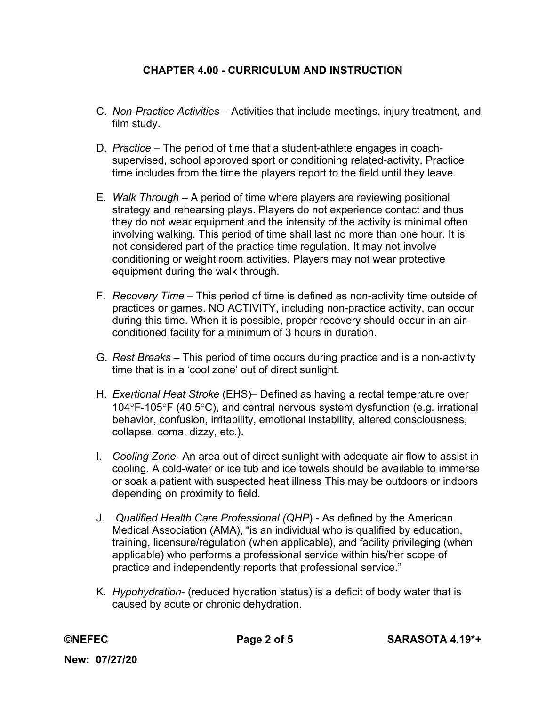- C. *Non-Practice Activities*  Activities that include meetings, injury treatment, and film study.
- D. *Practice*  The period of time that a student-athlete engages in coachsupervised, school approved sport or conditioning related-activity. Practice time includes from the time the players report to the field until they leave.
- E. *Walk Through*  A period of time where players are reviewing positional strategy and rehearsing plays. Players do not experience contact and thus they do not wear equipment and the intensity of the activity is minimal often involving walking. This period of time shall last no more than one hour. It is not considered part of the practice time regulation. It may not involve conditioning or weight room activities. Players may not wear protective equipment during the walk through.
- F. *Recovery Time* This period of time is defined as non-activity time outside of practices or games. NO ACTIVITY, including non-practice activity, can occur during this time. When it is possible, proper recovery should occur in an airconditioned facility for a minimum of 3 hours in duration.
- G. *Rest Breaks* This period of time occurs during practice and is a non-activity time that is in a 'cool zone' out of direct sunlight.
- H. *Exertional Heat Stroke* (EHS)– Defined as having a rectal temperature over 104 $\degree$ F-105 $\degree$ F (40.5 $\degree$ C), and central nervous system dysfunction (e.g. irrational behavior, confusion, irritability, emotional instability, altered consciousness, collapse, coma, dizzy, etc.).
- I. *Cooling Zone-* An area out of direct sunlight with adequate air flow to assist in cooling*.* A cold-water or ice tub and ice towels should be available to immerse or soak a patient with suspected heat illness This may be outdoors or indoors depending on proximity to field.
- J. *Qualified Health Care Professional (QHP*) As defined by the American Medical Association (AMA), "is an individual who is qualified by education, training, licensure/regulation (when applicable), and facility privileging (when applicable) who performs a professional service within his/her scope of practice and independently reports that professional service."
- K. *Hypohydration* (reduced hydration status) is a deficit of body water that is caused by acute or chronic dehydration.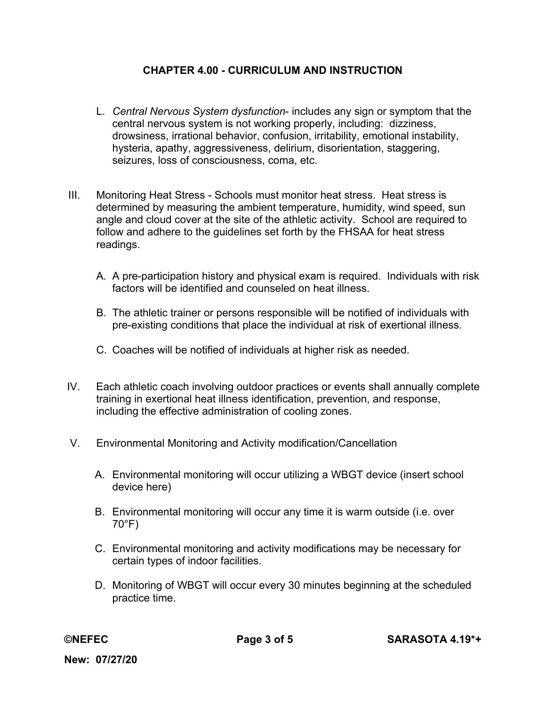- L. *Central Nervous System dysfunction* includes any sign or symptom that the central nervous system is not working properly, including: dizziness, drowsiness, irrational behavior, confusion, irritability, emotional instability, hysteria, apathy, aggressiveness, delirium, disorientation, staggering, seizures, loss of consciousness, coma, etc.
- III. Monitoring Heat Stress Schools must monitor heat stress. Heat stress is determined by measuring the ambient temperature, humidity, wind speed, sun angle and cloud cover at the site of the athletic activity. School are required to follow and adhere to the guidelines set forth by the FHSAA for heat stress readings.
	- A. A pre-participation history and physical exam is required. Individuals with risk factors will be identified and counseled on heat illness.
	- B. The athletic trainer or persons responsible will be notified of individuals with pre-existing conditions that place the individual at risk of exertional illness.
	- C. Coaches will be notified of individuals at higher risk as needed.
- IV. Each athletic coach involving outdoor practices or events shall annually complete training in exertional heat illness identification, prevention, and response, including the effective administration of cooling zones.
- V. Environmental Monitoring and Activity modification/Cancellation
	- A. Environmental monitoring will occur utilizing a WBGT device (insert school device here)
	- B. Environmental monitoring will occur any time it is warm outside (i.e. over 70°F)
	- C. Environmental monitoring and activity modifications may be necessary for certain types of indoor facilities.
	- D. Monitoring of WBGT will occur every 30 minutes beginning at the scheduled practice time.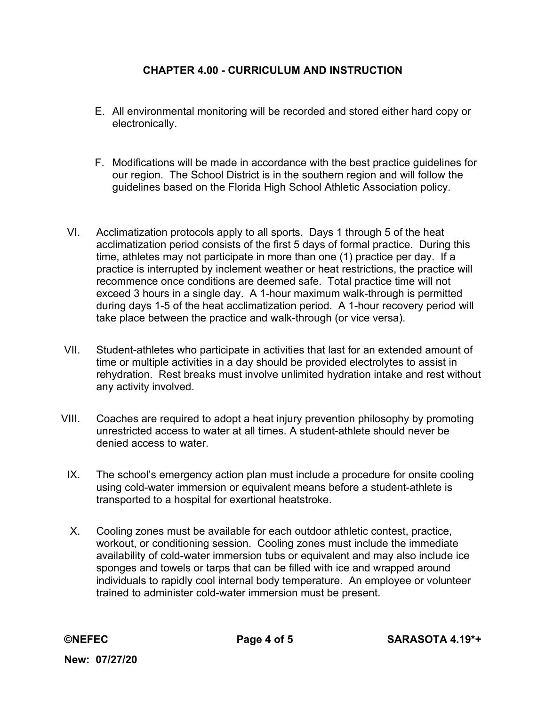- E. All environmental monitoring will be recorded and stored either hard copy or electronically.
- F. Modifications will be made in accordance with the best practice guidelines for our region. The School District is in the southern region and will follow the guidelines based on the Florida High School Athletic Association policy.
- VI. Acclimatization protocols apply to all sports. Days 1 through 5 of the heat acclimatization period consists of the first 5 days of formal practice. During this time, athletes may not participate in more than one (1) practice per day. If a practice is interrupted by inclement weather or heat restrictions, the practice will recommence once conditions are deemed safe. Total practice time will not exceed 3 hours in a single day. A 1-hour maximum walk-through is permitted during days 1-5 of the heat acclimatization period. A 1-hour recovery period will take place between the practice and walk-through (or vice versa).
- VII. Student-athletes who participate in activities that last for an extended amount of time or multiple activities in a day should be provided electrolytes to assist in rehydration. Rest breaks must involve unlimited hydration intake and rest without any activity involved.
- VIII. Coaches are required to adopt a heat injury prevention philosophy by promoting unrestricted access to water at all times. A student-athlete should never be denied access to water.
	- IX. The school's emergency action plan must include a procedure for onsite cooling using cold-water immersion or equivalent means before a student-athlete is transported to a hospital for exertional heatstroke.
	- X. Cooling zones must be available for each outdoor athletic contest, practice, workout, or conditioning session. Cooling zones must include the immediate availability of cold-water immersion tubs or equivalent and may also include ice sponges and towels or tarps that can be filled with ice and wrapped around individuals to rapidly cool internal body temperature. An employee or volunteer trained to administer cold-water immersion must be present.